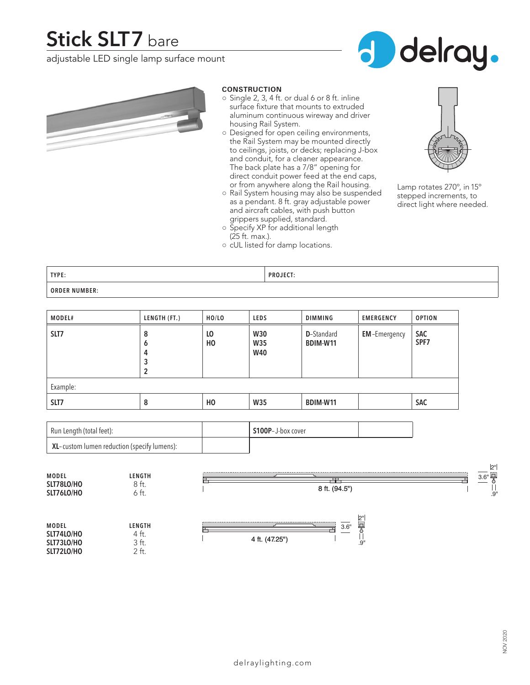## **Stick SLT7** bare

adjustable LED single lamp surface mount





#### **CONSTRUCTION**

- $\circ$  Single 2, 3, 4 ft. or dual 6 or 8 ft. inline surface fixture that mounts to extruded aluminum continuous wireway and driver housing Rail System.
- Designed for open ceiling environments, the Rail System may be mounted directly to ceilings, joists, or decks; replacing J-box and conduit, for a cleaner appearance. The back plate has a 7/8" opening for direct conduit power feed at the end caps, or from anywhere along the Rail housing.
- Rail System housing may also be suspended as a pendant. 8 ft. gray adjustable power and aircraft cables, with push button grippers supplied, standard.



- Lamp rotates 270º, in 15º stepped increments, to direct light where needed.
- (25 ft. max.). ○ cUL listed for damp locations.

○ Specify XP for additional length

**TYPE: PROJECT: ORDER NUMBER:**

| MODEL#   | LENGTH (FT.) | HO/LO                | <b>LEDS</b>                     | <b>DIMMING</b>                 | <b>EMERGENCY</b>    | <b>OPTION</b>      |  |  |
|----------|--------------|----------------------|---------------------------------|--------------------------------|---------------------|--------------------|--|--|
| SLT7     | 8<br>o<br>4  | L <sub>0</sub><br>HO | <b>W30</b><br>W35<br><b>W40</b> | <b>D</b> -Standard<br>BDIM-W11 | <b>EM-Emergency</b> | <b>SAC</b><br>SPF7 |  |  |
| Example: |              |                      |                                 |                                |                     |                    |  |  |
| SLT7     | 8            | H <sub>0</sub>       | <b>W35</b>                      | BDIM-W11                       |                     | <b>SAC</b>         |  |  |

| Run Length (total feet):                       | S100P-J-box cover |  |
|------------------------------------------------|-------------------|--|
| $KL$ -custom lumen reduction (specify lumens): |                   |  |